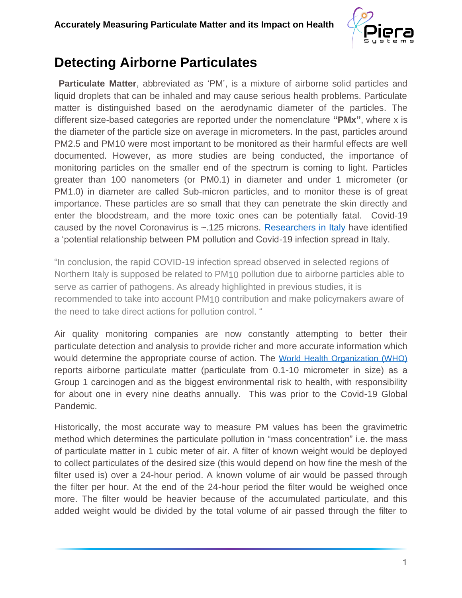

## **Detecting Airborne Particulates**

**Particulate Matter**, abbreviated as 'PM', is a mixture of airborne solid particles and liquid droplets that can be inhaled and may cause serious health problems. Particulate matter is distinguished based on the aerodynamic diameter of the particles. The different size-based categories are reported under the nomenclature **"PMx"**, where x is the diameter of the particle size on average in micrometers. In the past, particles around PM2.5 and PM10 were most important to be monitored as their harmful effects are well documented. However, as more studies are being conducted, the importance of monitoring particles on the smaller end of the spectrum is coming to light. Particles greater than 100 nanometers (or PM0.1) in diameter and under 1 micrometer (or PM1.0) in diameter are called Sub-micron particles, and to monitor these is of great importance. These particles are so small that they can penetrate the skin directly and enter the bloodstream, and the more toxic ones can be potentially fatal. Covid-19 caused by the novel Coronavirus is  $\sim$ .125 microns. [Researchers in Italy](http://www.simaonlus.it/wpsima/wp-content/uploads/2020/03/COVID_19_position-paper_ENG.pdf) have identified a 'potential relationship between PM pollution and Covid-19 infection spread in Italy.

"In conclusion, the rapid COVID-19 infection spread observed in selected regions of Northern Italy is supposed be related to PM10 pollution due to airborne particles able to serve as carrier of pathogens. As already highlighted in previous studies, it is recommended to take into account PM10 contribution and make policymakers aware of the need to take direct actions for pollution control. "

Air quality monitoring companies are now constantly attempting to better their particulate detection and analysis to provide richer and more accurate information which would determine the appropriate course of action. The [World Health Organization \(WHO\)](https://www.who.int/airpollution/en/) reports airborne particulate matter (particulate from 0.1-10 micrometer in size) as a Group 1 carcinogen and as the biggest environmental risk to health, with responsibility for about one in every nine deaths annually. This was prior to the Covid-19 Global Pandemic.

Historically, the most accurate way to measure PM values has been the gravimetric method which determines the particulate pollution in "mass concentration" i.e. the mass of particulate matter in 1 cubic meter of air. A filter of known weight would be deployed to collect particulates of the desired size (this would depend on how fine the mesh of the filter used is) over a 24-hour period. A known volume of air would be passed through the filter per hour. At the end of the 24-hour period the filter would be weighed once more. The filter would be heavier because of the accumulated particulate, and this added weight would be divided by the total volume of air passed through the filter to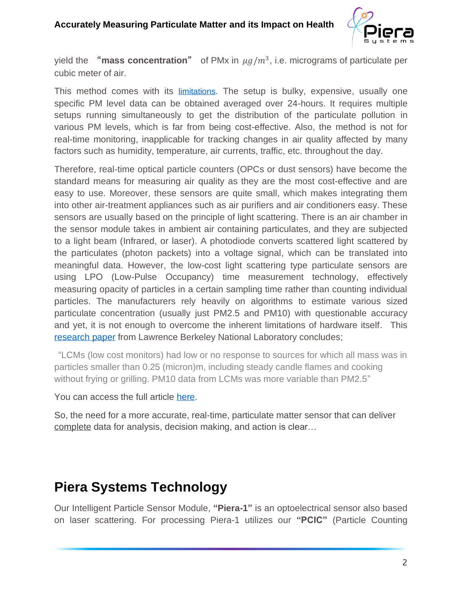

yield the **"mass concentration"** of PMx in  $\mu g/m^3$ , i.e. micrograms of particulate per cubic meter of air.

This method comes with its [limitations](https://www.sciencedirect.com/science/article/pii/S2590162119300346?via%3Dihu). The setup is bulky, expensive, usually one specific PM level data can be obtained averaged over 24-hours. It requires multiple setups running simultaneously to get the distribution of the particulate pollution in various PM levels, which is far from being cost-effective. Also, the method is not for real-time monitoring, inapplicable for tracking changes in air quality affected by many factors such as humidity, temperature, air currents, traffic, etc. throughout the day.

Therefore, real-time optical particle counters (OPCs or dust sensors) have become the standard means for measuring air quality as they are the most cost-effective and are easy to use. Moreover, these sensors are quite small, which makes integrating them into other air-treatment appliances such as air purifiers and air conditioners easy. These sensors are usually based on the principle of light scattering. There is an air chamber in the sensor module takes in ambient air containing particulates, and they are subjected to a light beam (Infrared, or laser). A photodiode converts scattered light scattered by the particulates (photon packets) into a voltage signal, which can be translated into meaningful data. However, the low-cost light scattering type particulate sensors are using LPO (Low-Pulse Occupancy) time measurement technology, effectively measuring opacity of particles in a certain sampling time rather than counting individual particles. The manufacturers rely heavily on algorithms to estimate various sized particulate concentration (usually just PM2.5 and PM10) with questionable accuracy and yet, it is not enough to overcome the inherent limitations of hardware itself. This [research](https://eta.lbl.gov/publications/performance-low-cost-indoor-air) paper from Lawrence Berkeley National Laboratory concludes;

"LCMs (low cost monitors) had low or no response to sources for which all mass was in particles smaller than 0.25 (micron)m, including steady candle flames and cooking without frying or grilling. PM10 data from LCMs was more variable than PM2.5"

You can access the full article [here.](https://foobot.io/wp-content/uploads/2019/03/Singer-2018-Indoor-Air-Consumer-Monitors-FINAL.pdf)

So, the need for a more accurate, real-time, particulate matter sensor that can deliver complete data for analysis, decision making, and action is clear…

# **Piera Systems Technology**

Our Intelligent Particle Sensor Module, **"Piera-1"** is an optoelectrical sensor also based on laser scattering. For processing Piera-1 utilizes our **"PCIC"** (Particle Counting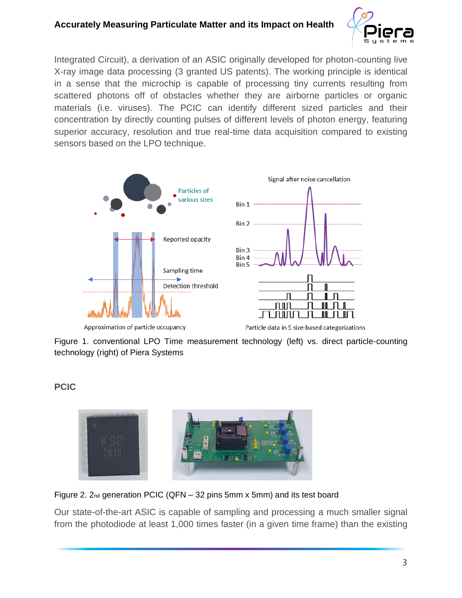## **Accurately Measuring Particulate Matter and its Impact on Health**



Integrated Circuit), a derivation of an ASIC originally developed for photon-counting live X-ray image data processing (3 granted US patents). The working principle is identical in a sense that the microchip is capable of processing tiny currents resulting from scattered photons off of obstacles whether they are airborne particles or organic materials (i.e. viruses). The PCIC can identify different sized particles and their concentration by directly counting pulses of different levels of photon energy, featuring superior accuracy, resolution and true real-time data acquisition compared to existing sensors based on the LPO technique.



Approximation of particle occupancy

Particle data in 5 size-based categorizations

Figure 1. conventional LPO Time measurement technology (left) vs. direct particle-counting technology (right) of Piera Systems

**PCIC**



Figure 2.  $2n_d$  generation PCIC (QFN – 32 pins 5mm x 5mm) and its test board

Our state-of-the-art ASIC is capable of sampling and processing a much smaller signal from the photodiode at least 1,000 times faster (in a given time frame) than the existing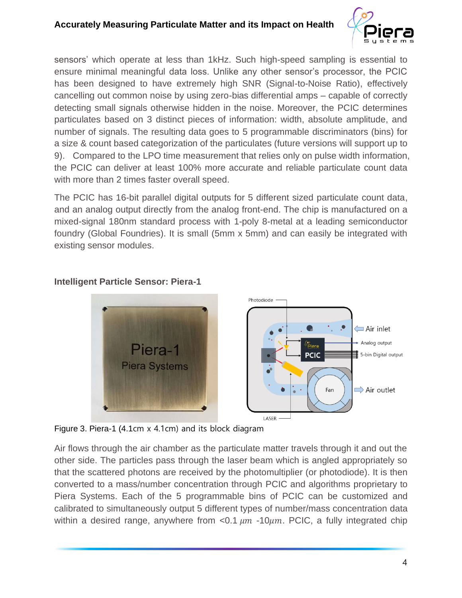

sensors' which operate at less than 1kHz. Such high-speed sampling is essential to ensure minimal meaningful data loss. Unlike any other sensor's processor, the PCIC has been designed to have extremely high SNR (Signal-to-Noise Ratio), effectively cancelling out common noise by using zero-bias differential amps – capable of correctly detecting small signals otherwise hidden in the noise. Moreover, the PCIC determines particulates based on 3 distinct pieces of information: width, absolute amplitude, and number of signals. The resulting data goes to 5 programmable discriminators (bins) for a size & count based categorization of the particulates (future versions will support up to 9). Compared to the LPO time measurement that relies only on pulse width information, the PCIC can deliver at least 100% more accurate and reliable particulate count data with more than 2 times faster overall speed.

The PCIC has 16-bit parallel digital outputs for 5 different sized particulate count data, and an analog output directly from the analog front-end. The chip is manufactured on a mixed-signal 180nm standard process with 1-poly 8-metal at a leading semiconductor foundry (Global Foundries). It is small (5mm x 5mm) and can easily be integrated with existing sensor modules.



### **Intelligent Particle Sensor: Piera-1**

Figure 3. Piera-1 (4.1cm x 4.1cm) and its block diagram

Air flows through the air chamber as the particulate matter travels through it and out the other side. The particles pass through the laser beam which is angled appropriately so that the scattered photons are received by the photomultiplier (or photodiode). It is then converted to a mass/number concentration through PCIC and algorithms proprietary to Piera Systems. Each of the 5 programmable bins of PCIC can be customized and calibrated to simultaneously output 5 different types of number/mass concentration data within a desired range, anywhere from  $< 0.1 \mu m$  -10 $\mu m$ . PCIC, a fully integrated chip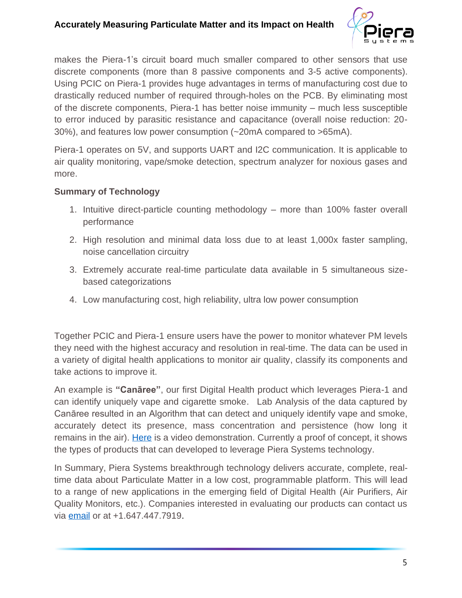## **Accurately Measuring Particulate Matter and its Impact on Health**



makes the Piera-1's circuit board much smaller compared to other sensors that use discrete components (more than 8 passive components and 3-5 active components). Using PCIC on Piera-1 provides huge advantages in terms of manufacturing cost due to drastically reduced number of required through-holes on the PCB. By eliminating most of the discrete components, Piera-1 has better noise immunity – much less susceptible to error induced by parasitic resistance and capacitance (overall noise reduction: 20- 30%), and features low power consumption (~20mA compared to >65mA).

Piera-1 operates on 5V, and supports UART and I2C communication. It is applicable to air quality monitoring, vape/smoke detection, spectrum analyzer for noxious gases and more.

#### **Summary of Technology**

- 1. Intuitive direct-particle counting methodology more than 100% faster overall performance
- 2. High resolution and minimal data loss due to at least 1,000x faster sampling, noise cancellation circuitry
- 3. Extremely accurate real-time particulate data available in 5 simultaneous sizebased categorizations
- 4. Low manufacturing cost, high reliability, ultra low power consumption

Together PCIC and Piera-1 ensure users have the power to monitor whatever PM levels they need with the highest accuracy and resolution in real-time. The data can be used in a variety of digital health applications to monitor air quality, classify its components and take actions to improve it.

An example is **"Canāree"**, our first Digital Health product which leverages Piera-1 and can identify uniquely vape and cigarette smoke. Lab Analysis of the data captured by Canāree resulted in an Algorithm that can detect and uniquely identify vape and smoke, accurately detect its presence, mass concentration and persistence (how long it remains in the air). [Here](https://www.facebook.com/104011531183423/videos/2732854546832567/?story_fbid=119966399587936&id=104011531183423&__tn__=K-R) is a video demonstration. Currently a proof of concept, it shows the types of products that can developed to leverage Piera Systems technology.

In Summary, Piera Systems breakthrough technology delivers accurate, complete, realtime data about Particulate Matter in a low cost, programmable platform. This will lead to a range of new applications in the emerging field of Digital Health (Air Purifiers, Air Quality Monitors, etc.). Companies interested in evaluating our products can contact us via [email](mailto:info@pierasystems.com) or at +1.647.447.7919.